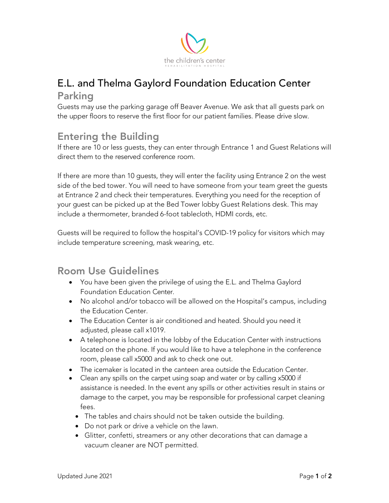

# E.L. and Thelma Gaylord Foundation Education Center Parking

Guests may use the parking garage off Beaver Avenue. We ask that all guests park on the upper floors to reserve the first floor for our patient families. Please drive slow.

## Entering the Building

If there are 10 or less guests, they can enter through Entrance 1 and Guest Relations will direct them to the reserved conference room.

If there are more than 10 guests, they will enter the facility using Entrance 2 on the west side of the bed tower. You will need to have someone from your team greet the guests at Entrance 2 and check their temperatures. Everything you need for the reception of your guest can be picked up at the Bed Tower lobby Guest Relations desk. This may include a thermometer, branded 6-foot tablecloth, HDMI cords, etc.

Guests will be required to follow the hospital's COVID-19 policy for visitors which may include temperature screening, mask wearing, etc.

#### Room Use Guidelines

- You have been given the privilege of using the E.L. and Thelma Gaylord Foundation Education Center.
- No alcohol and/or tobacco will be allowed on the Hospital's campus, including the Education Center.
- The Education Center is air conditioned and heated. Should you need it adjusted, please call x1019.
- A telephone is located in the lobby of the Education Center with instructions located on the phone. If you would like to have a telephone in the conference room, please call x5000 and ask to check one out.
- The icemaker is located in the canteen area outside the Education Center.
- Clean any spills on the carpet using soap and water or by calling x5000 if assistance is needed. In the event any spills or other activities result in stains or damage to the carpet, you may be responsible for professional carpet cleaning fees.
	- The tables and chairs should not be taken outside the building.
	- Do not park or drive a vehicle on the lawn.
	- Glitter, confetti, streamers or any other decorations that can damage a vacuum cleaner are NOT permitted.